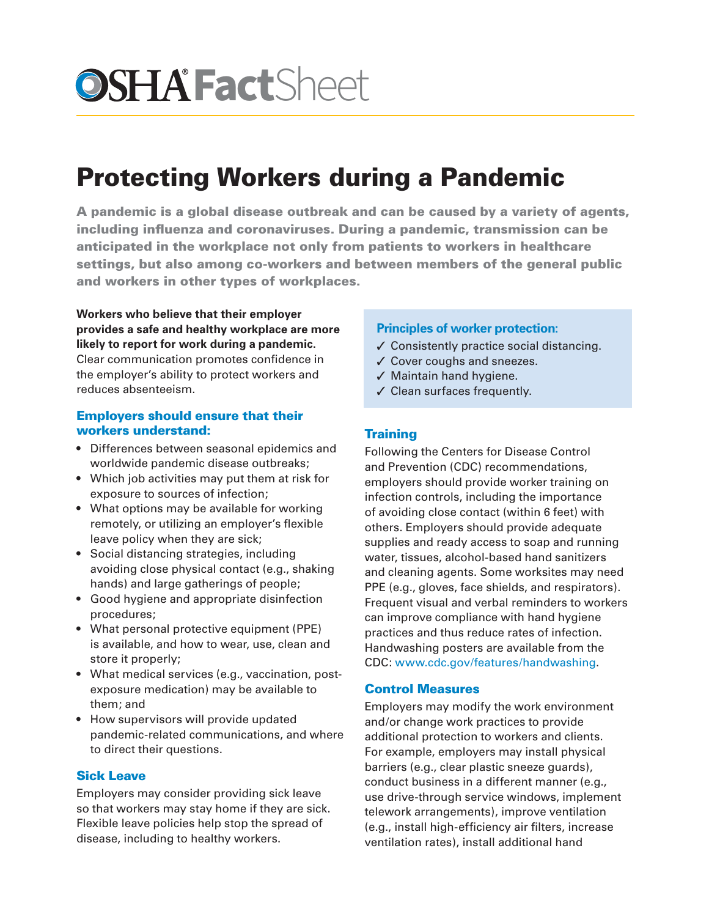# **OSHA Fact**Sheet

# Protecting Workers during a Pandemic

A pandemic is a global disease outbreak and can be caused by a variety of agents, including influenza and coronaviruses. During a pandemic, transmission can be anticipated in the workplace not only from patients to workers in healthcare settings, but also among co-workers and between members of the general public and workers in other types of workplaces.

**Workers who believe that their employer provides a safe and healthy workplace are more likely to report for work during a pandemic.**  Clear communication promotes confidence in the employer's ability to protect workers and reduces absenteeism.

## Employers should ensure that their workers understand:

- Differences between seasonal epidemics and worldwide pandemic disease outbreaks;
- Which job activities may put them at risk for exposure to sources of infection;
- What options may be available for working remotely, or utilizing an employer's flexible leave policy when they are sick;
- Social distancing strategies, including avoiding close physical contact (e.g., shaking hands) and large gatherings of people;
- Good hygiene and appropriate disinfection procedures;
- What personal protective equipment (PPE) is available, and how to wear, use, clean and store it properly;
- What medical services (e.g., vaccination, postexposure medication) may be available to them; and
- How supervisors will provide updated pandemic-related communications, and where to direct their questions.

# Sick Leave

Employers may consider providing sick leave so that workers may stay home if they are sick. Flexible leave policies help stop the spread of disease, including to healthy workers.

## **Principles of worker protection:**

- ✓ Consistently practice social distancing.
- ✓ Cover coughs and sneezes.
- ✓ Maintain hand hygiene.
- ✓ Clean surfaces frequently.

# **Training**

Following the Centers for Disease Control and Prevention (CDC) recommendations, employers should provide worker training on infection controls, including the importance of avoiding close contact (within 6 feet) with others. Employers should provide adequate supplies and ready access to soap and running water, tissues, alcohol-based hand sanitizers and cleaning agents. Some worksites may need PPE (e.g., gloves, face shields, and respirators). Frequent visual and verbal reminders to workers can improve compliance with hand hygiene practices and thus reduce rates of infection. Handwashing posters are available from the CDC: [www.cdc.gov/features/handwashing.](www.cdc.gov/features/handwashing)

#### Control Measures

Employers may modify the work environment and/or change work practices to provide additional protection to workers and clients. For example, employers may install physical barriers (e.g., clear plastic sneeze guards), conduct business in a different manner (e.g., use drive-through service windows, implement telework arrangements), improve ventilation (e.g., install high-efficiency air filters, increase ventilation rates), install additional hand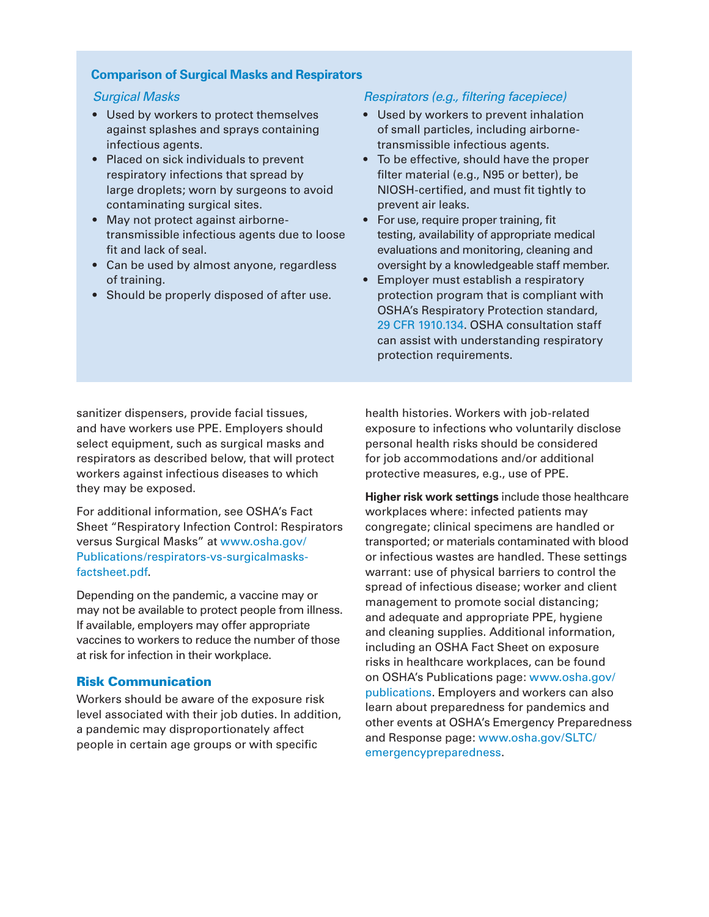#### **Comparison of Surgical Masks and Respirators**

#### *Surgical Masks*

- Used by workers to protect themselves against splashes and sprays containing infectious agents.
- Placed on sick individuals to prevent respiratory infections that spread by large droplets; worn by surgeons to avoid contaminating surgical sites.
- May not protect against airbornetransmissible infectious agents due to loose fit and lack of seal.
- Can be used by almost anyone, regardless of training.
- Should be properly disposed of after use.

#### *Respirators (e.g., filtering facepiece)*

- Used by workers to prevent inhalation of small particles, including airbornetransmissible infectious agents.
- To be effective, should have the proper filter material (e.g., N95 or better), be NIOSH-certified, and must fit tightly to prevent air leaks.
- For use, require proper training, fit testing, availability of appropriate medical evaluations and monitoring, cleaning and oversight by a knowledgeable staff member.
- Employer must establish a respiratory protection program that is compliant with OSHA's Respiratory Protection standard, [29 CFR 1910.134.](https://www.osha.gov/pls/oshaweb/owadisp.show_document?p_id=12716&p_table=standards) OSHA consultation staff can assist with understanding respiratory protection requirements.

sanitizer dispensers, provide facial tissues, and have workers use PPE. Employers should select equipment, such as surgical masks and respirators as described below, that will protect workers against infectious diseases to which they may be exposed.

For additional information, see OSHA's Fact Sheet "Respiratory Infection Control: Respirators versus Surgical Masks" at [www.osha.gov/](https://www.osha.gov/Publications/respirators-vs-surgicalmasks-factsheet.pdf) [Publications/respirators-vs-surgicalmasks](https://www.osha.gov/Publications/respirators-vs-surgicalmasks-factsheet.pdf)[factsheet.pdf.](https://www.osha.gov/Publications/respirators-vs-surgicalmasks-factsheet.pdf)

Depending on the pandemic, a vaccine may or may not be available to protect people from illness. If available, employers may offer appropriate vaccines to workers to reduce the number of those at risk for infection in their workplace.

#### Risk Communication

Workers should be aware of the exposure risk level associated with their job duties. In addition, a pandemic may disproportionately affect people in certain age groups or with specific

health histories. Workers with job-related exposure to infections who voluntarily disclose personal health risks should be considered for job accommodations and/or additional protective measures, e.g., use of PPE.

**Higher risk work settings** include those healthcare workplaces where: infected patients may congregate; clinical specimens are handled or transported; or materials contaminated with blood or infectious wastes are handled. These settings warrant: use of physical barriers to control the spread of infectious disease; worker and client management to promote social distancing; and adequate and appropriate PPE, hygiene and cleaning supplies. Additional information, including an OSHA Fact Sheet on exposure risks in healthcare workplaces, can be found on OSHA's Publications page: [www.osha.gov/](http://www.osha.gov/publications) [publications](http://www.osha.gov/publications). Employers and workers can also learn about preparedness for pandemics and other events at OSHA's Emergency Preparedness and Response page: [www.osha.gov/SLTC/](http://www.osha.gov/SLTC/emergencypreparedness) [emergencypreparedness.](http://www.osha.gov/SLTC/emergencypreparedness)